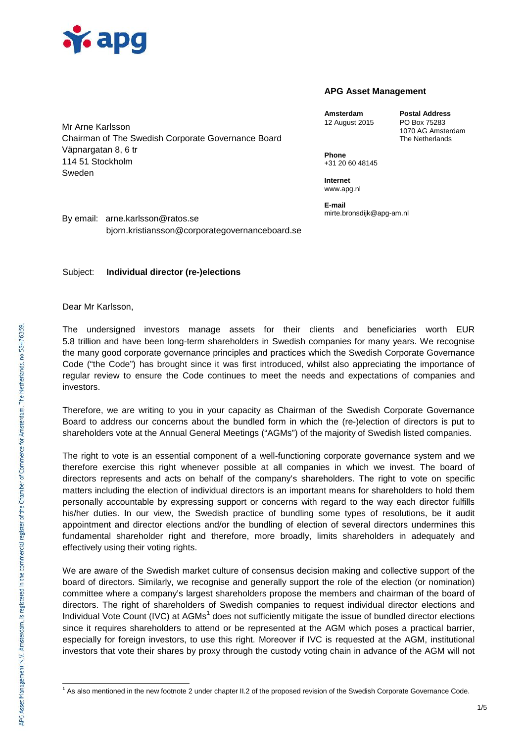

Mr Arne Karlsson

## **APG Asset Management**

**Amsterdam Postal Address** 12 August 2015

1070 AG Amsterdam The Netherlands

**Phone** +31 20 60 48145

**Internet** www.apg.nl

**E-mail** mirte.bronsdijk@apg-am.nl

By email: arne.karlsson@ratos.se bjorn.kristiansson@corporategovernanceboard.se

## Subject: **Individual director (re-)elections**

Dear Mr Karlsson,

The undersigned investors manage assets for their clients and beneficiaries worth EUR 5.8 trillion and have been long-term shareholders in Swedish companies for many years. We recognise the many good corporate governance principles and practices which the Swedish Corporate Governance Code ("the Code") has brought since it was first introduced, whilst also appreciating the importance of regular review to ensure the Code continues to meet the needs and expectations of companies and investors.

Therefore, we are writing to you in your capacity as Chairman of the Swedish Corporate Governance Board to address our concerns about the bundled form in which the (re-)election of directors is put to shareholders vote at the Annual General Meetings ("AGMs") of the majority of Swedish listed companies.

The right to vote is an essential component of a well-functioning corporate governance system and we therefore exercise this right whenever possible at all companies in which we invest. The board of directors represents and acts on behalf of the company's shareholders. The right to vote on specific matters including the election of individual directors is an important means for shareholders to hold them personally accountable by expressing support or concerns with regard to the way each director fulfills his/her duties. In our view, the Swedish practice of bundling some types of resolutions, be it audit appointment and director elections and/or the bundling of election of several directors undermines this fundamental shareholder right and therefore, more broadly, limits shareholders in adequately and effectively using their voting rights.

We are aware of the Swedish market culture of consensus decision making and collective support of the board of directors. Similarly, we recognise and generally support the role of the election (or nomination) committee where a company's largest shareholders propose the members and chairman of the board of directors. The right of shareholders of Swedish companies to request individual director elections and Individual Vote Count (IVC) at AGMs<sup>1</sup> does not sufficiently mitigate the issue of bundled director elections since it requires shareholders to attend or be represented at the AGM which poses a practical barrier, especially for foreign investors, to use this right. Moreover if IVC is requested at the AGM, institutional investors that vote their shares by proxy through the custody voting chain in advance of the AGM will not

Chairman of The Swedish Corporate Governance Board Väpnargatan 8, 6 tr 114 51 Stockholm Sweden

 $<sup>1</sup>$  As also mentioned in the new footnote 2 under chapter II.2 of the proposed revision of the Swedish Corporate Governance Code.</sup>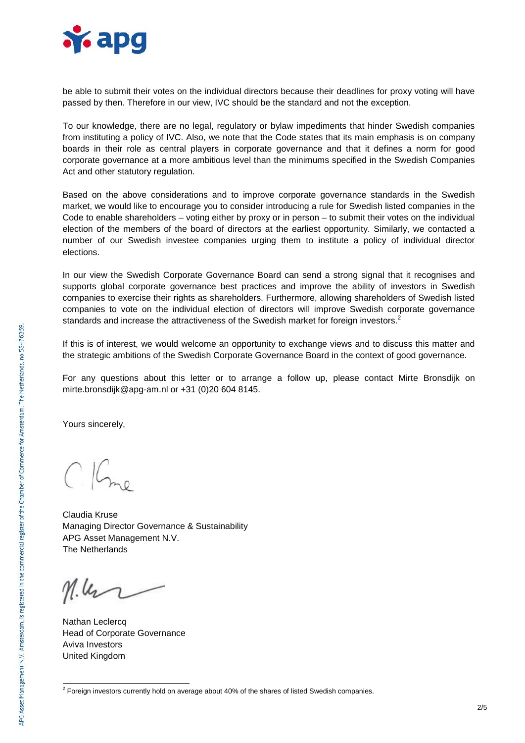

be able to submit their votes on the individual directors because their deadlines for proxy voting will have passed by then. Therefore in our view, IVC should be the standard and not the exception.

To our knowledge, there are no legal, regulatory or bylaw impediments that hinder Swedish companies from instituting a policy of IVC. Also, we note that the Code states that its main emphasis is on company boards in their role as central players in corporate governance and that it defines a norm for good corporate governance at a more ambitious level than the minimums specified in the Swedish Companies Act and other statutory regulation.

Based on the above considerations and to improve corporate governance standards in the Swedish market, we would like to encourage you to consider introducing a rule for Swedish listed companies in the Code to enable shareholders – voting either by proxy or in person – to submit their votes on the individual election of the members of the board of directors at the earliest opportunity. Similarly, we contacted a number of our Swedish investee companies urging them to institute a policy of individual director elections.

In our view the Swedish Corporate Governance Board can send a strong signal that it recognises and supports global corporate governance best practices and improve the ability of investors in Swedish companies to exercise their rights as shareholders. Furthermore, allowing shareholders of Swedish listed companies to vote on the individual election of directors will improve Swedish corporate governance standards and increase the attractiveness of the Swedish market for foreign investors.<sup>2</sup>

If this is of interest, we would welcome an opportunity to exchange views and to discuss this matter and the strategic ambitions of the Swedish Corporate Governance Board in the context of good governance.

For any questions about this letter or to arrange a follow up, please contact Mirte Bronsdijk on mirte.bronsdijk@apg-am.nl or +31 (0)20 604 8145.

Yours sincerely,

Claudia Kruse Managing Director Governance & Sustainability APG Asset Management N.V. The Netherlands

 $M.\mu$ 

Nathan Leclercq Head of Corporate Governance Aviva Investors United Kingdom

 $2$  Foreign investors currently hold on average about 40% of the shares of listed Swedish companies.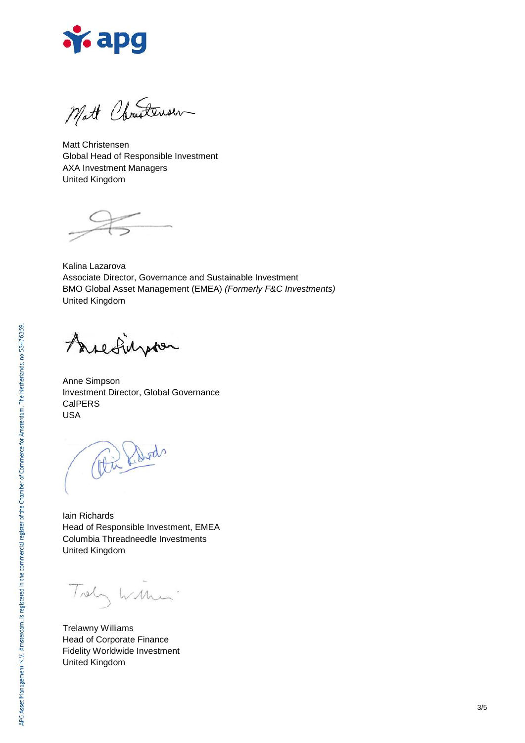

Mott Christensen

Matt Christensen Global Head of Responsible Investment AXA Investment Managers United Kingdom

Kalina Lazarova Associate Director, Governance and Sustainable Investment BMO Global Asset Management (EMEA) *(Formerly F&C Investments)* United Kingdom

Arefighter

Anne Simpson Investment Director, Global Governance CalPERS USA

Pu hards

Iain Richards Head of Responsible Investment, EMEA Columbia Threadneedle Investments United Kingdom

Trely William

Trelawny Williams Head of Corporate Finance Fidelity Worldwide Investment United Kingdom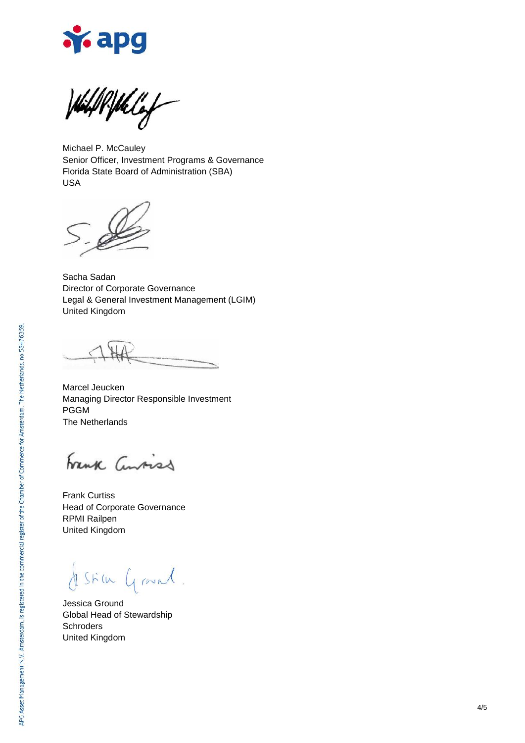

WithPfblig

Michael P. McCauley Senior Officer, Investment Programs & Governance Florida State Board of Administration (SBA) USA

Sacha Sadan Director of Corporate Governance Legal & General Investment Management (LGIM) United Kingdom

Marcel Jeucken Managing Director Responsible Investment PGGM The Netherlands

Frank Convicts

Frank Curtiss Head of Corporate Governance RPMI Railpen United Kingdom

Still Grand

Jessica Ground Global Head of Stewardship **Schroders** United Kingdom